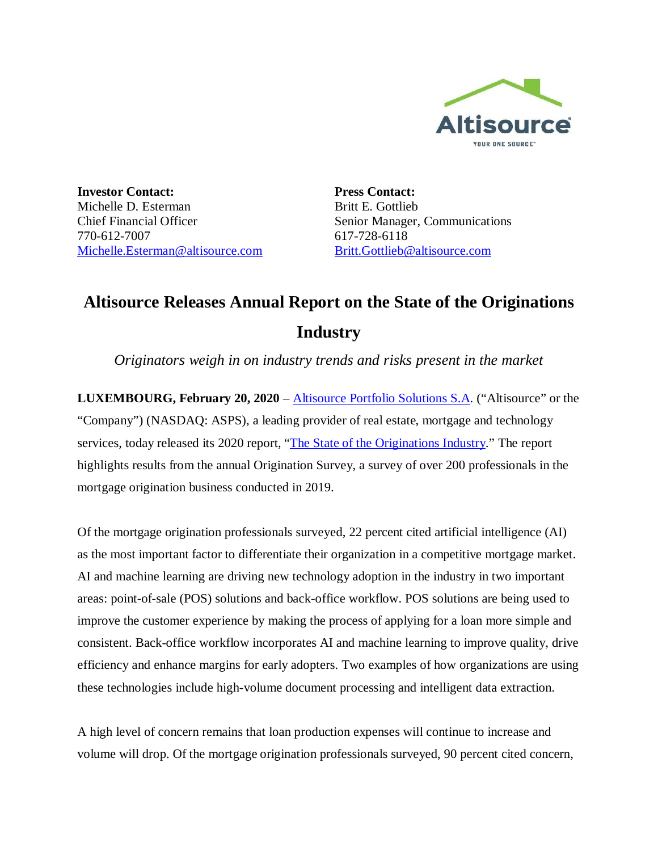

**Investor Contact:** Michelle D. Esterman Chief Financial Officer 770-612-7007 Michelle.Esterman@altisource.com **Press Contact:** Britt E. Gottlieb Senior Manager, Communications 617-728-6118 Britt.Gottlieb@altisource.com

## **Altisource Releases Annual Report on the State of the Originations Industry**

*Originators weigh in on industry trends and risks present in the market*

**LUXEMBOURG, February 20, 2020** – Altisource Portfolio Solutions S.A. ("Altisource" or the "Company") (NASDAQ: ASPS), a leading provider of real estate, mortgage and technology services, today released its 2020 report, "The State of the Originations Industry." The report highlights results from the annual Origination Survey, a survey of over 200 professionals in the mortgage origination business conducted in 2019.

Of the mortgage origination professionals surveyed, 22 percent cited artificial intelligence (AI) as the most important factor to differentiate their organization in a competitive mortgage market. AI and machine learning are driving new technology adoption in the industry in two important areas: point-of-sale (POS) solutions and back-office workflow. POS solutions are being used to improve the customer experience by making the process of applying for a loan more simple and consistent. Back-office workflow incorporates AI and machine learning to improve quality, drive efficiency and enhance margins for early adopters. Two examples of how organizations are using these technologies include high-volume document processing and intelligent data extraction.

A high level of concern remains that loan production expenses will continue to increase and volume will drop. Of the mortgage origination professionals surveyed, 90 percent cited concern,